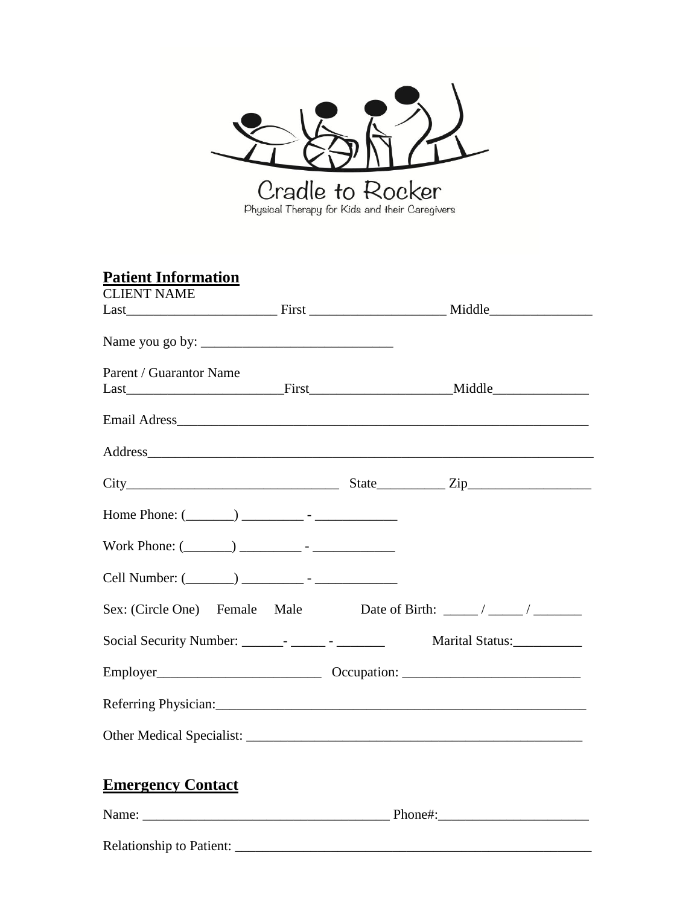

| <b>Patient Information</b> |  |                                                                                                                                                                                                                                |  |
|----------------------------|--|--------------------------------------------------------------------------------------------------------------------------------------------------------------------------------------------------------------------------------|--|
| <b>CLIENT NAME</b>         |  |                                                                                                                                                                                                                                |  |
|                            |  |                                                                                                                                                                                                                                |  |
|                            |  |                                                                                                                                                                                                                                |  |
| Parent / Guarantor Name    |  |                                                                                                                                                                                                                                |  |
|                            |  |                                                                                                                                                                                                                                |  |
|                            |  |                                                                                                                                                                                                                                |  |
|                            |  | Address and the contract of the contract of the contract of the contract of the contract of the contract of the contract of the contract of the contract of the contract of the contract of the contract of the contract of th |  |
|                            |  |                                                                                                                                                                                                                                |  |
|                            |  |                                                                                                                                                                                                                                |  |
|                            |  |                                                                                                                                                                                                                                |  |
|                            |  |                                                                                                                                                                                                                                |  |
|                            |  | Sex: (Circle One) Female Male Date of Birth: _____/ _____/                                                                                                                                                                     |  |
|                            |  | Social Security Number: ________- _________ Marital Status: _________                                                                                                                                                          |  |
|                            |  |                                                                                                                                                                                                                                |  |
|                            |  |                                                                                                                                                                                                                                |  |
|                            |  |                                                                                                                                                                                                                                |  |
| <b>Emergency Contact</b>   |  |                                                                                                                                                                                                                                |  |
|                            |  |                                                                                                                                                                                                                                |  |
|                            |  |                                                                                                                                                                                                                                |  |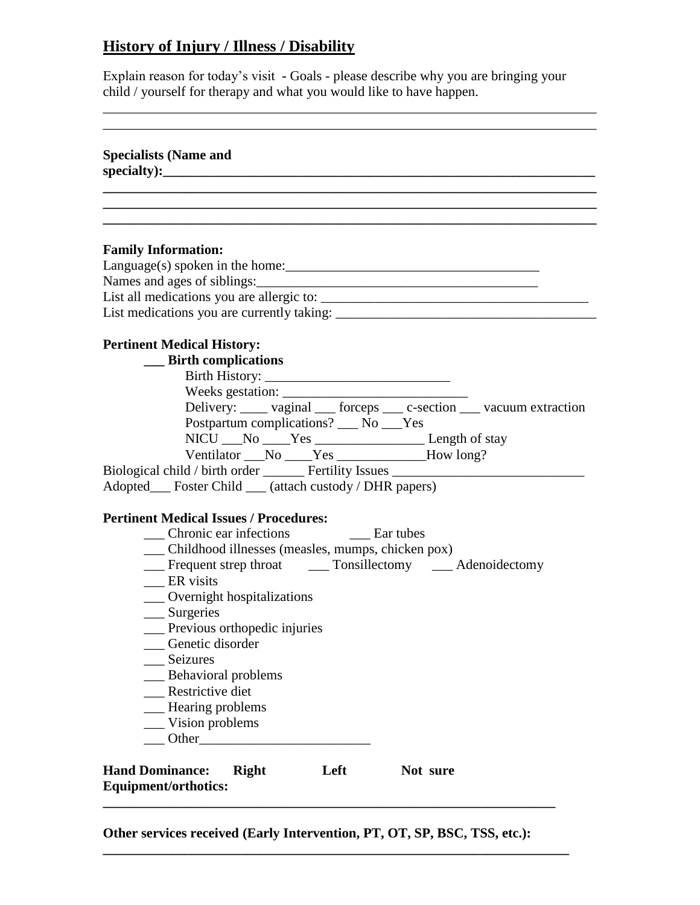## **History of Injury / Illness / Disability**

Explain reason for today's visit **-** Goals - please describe why you are bringing your child / yourself for therapy and what you would like to have happen.

\_\_\_\_\_\_\_\_\_\_\_\_\_\_\_\_\_\_\_\_\_\_\_\_\_\_\_\_\_\_\_\_\_\_\_\_\_\_\_\_\_\_\_\_\_\_\_\_\_\_\_\_\_\_\_\_\_\_\_\_\_\_\_\_\_\_\_\_\_\_\_\_

| <b>Specialists (Name and</b>                                                                                                                                                                                                                                                                                                                                                                                                                                                                                                         |
|--------------------------------------------------------------------------------------------------------------------------------------------------------------------------------------------------------------------------------------------------------------------------------------------------------------------------------------------------------------------------------------------------------------------------------------------------------------------------------------------------------------------------------------|
|                                                                                                                                                                                                                                                                                                                                                                                                                                                                                                                                      |
| <b>Family Information:</b>                                                                                                                                                                                                                                                                                                                                                                                                                                                                                                           |
| <b>Pertinent Medical History:</b><br>__ Birth complications<br>Weeks gestation:<br>Delivery: _____ vaginal ____ forceps ____ c-section ____ vacuum extraction<br>Postpartum complications? __ No __Yes<br>NICU ___ No _____ Yes _______________________ Length of stay<br>Ventilator ___No ____Yes ____________How long?<br>Biological child / birth order _______ Fertility Issues ________________________                                                                                                                         |
| Adopted___ Foster Child ___ (attach custody / DHR papers)<br><b>Pertinent Medical Issues / Procedures:</b><br>Chronic ear infections<br><b>Example 1</b> Ear tubes<br>__ Childhood illnesses (measles, mumps, chicken pox)<br>__ Frequent strep throat ______ Tonsillectomy _____ Adenoidectomy<br>ER visits<br>___ Overnight hospitalizations<br>__ Surgeries<br>__ Previous orthopedic injuries<br>Genetic disorder<br>Seizures<br><b>Behavioral problems</b><br>Restrictive diet<br>_Hearing problems<br>Vision problems<br>Other |
| <b>Hand Dominance:</b><br><b>Right</b><br>Left<br>Not sure<br><b>Equipment/orthotics:</b>                                                                                                                                                                                                                                                                                                                                                                                                                                            |

**Other services received (Early Intervention, PT, OT, SP, BSC, TSS, etc.):** 

**\_\_\_\_\_\_\_\_\_\_\_\_\_\_\_\_\_\_\_\_\_\_\_\_\_\_\_\_\_\_\_\_\_\_\_\_\_\_\_\_\_\_\_\_\_\_\_\_\_\_\_\_\_\_\_\_\_\_\_\_\_\_\_\_\_\_\_\_**